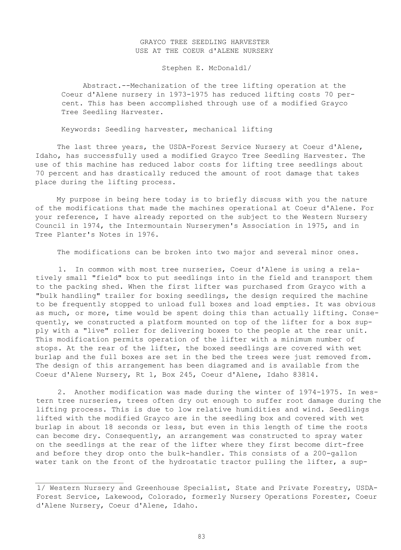## GRAYCO TREE SEEDLING HARVESTER USE AT THE COEUR d'ALENE NURSERY

Stephen E. McDonaldl/

Abstract.--Mechanization of the tree lifting operation at the Coeur d'Alene nursery in 1973-1975 has reduced lifting costs 70 percent. This has been accomplished through use of a modified Grayco Tree Seedling Harvester.

Keywords: Seedling harvester, mechanical lifting

The last three years, the USDA-Forest Service Nursery at Coeur d'Alene, Idaho, has successfully used a modified Grayco Tree Seedling Harvester. The use of this machine has reduced labor costs for lifting tree seedlings about 70 percent and has drastically reduced the amount of root damage that takes place during the lifting process.

My purpose in being here today is to briefly discuss with you the nature of the modifications that made the machines operational at Coeur d'Alene. For your reference, I have already reported on the subject to the Western Nursery Council in 1974, the Intermountain Nurserymen's Association in 1975, and in Tree Planter's Notes in 1976.

The modifications can be broken into two major and several minor ones.

1. In common with most tree nurseries, Coeur d'Alene is using a relatively small "field" box to put seedlings into in the field and transport them to the packing shed. When the first lifter was purchased from Grayco with a "bulk handling" trailer for boxing seedlings, the design required the machine to be frequently stopped to unload full boxes and load empties. It was obvious as much, or more, time would be spent doing this than actually lifting. Consequently, we constructed a platform mounted on top of the lifter for a box supply with a "live" roller for delivering boxes to the people at the rear unit. This modification permits operation of the lifter with a minimum number of stops. At the rear of the lifter, the boxed seedlings are covered with wet burlap and the full boxes are set in the bed the trees were just removed from. The design of this arrangement has been diagramed and is available from the Coeur d'Alene Nursery, Rt 1, Box 245, Coeur d'Alene, Idaho 83814.

2. Another modification was made during the winter of 1974-1975. In western tree nurseries, trees often dry out enough to suffer root damage during the lifting process. This is due to low relative humidities and wind. Seedlings lifted with the modified Grayco are in the seedling box and covered with wet burlap in about 18 seconds or less, but even in this length of time the roots can become dry. Consequently, an arrangement was constructed to spray water on the seedlings at the rear of the lifter where they first become dirt-free and before they drop onto the bulk-handler. This consists of a 200-gallon water tank on the front of the hydrostatic tractor pulling the lifter, a sup-

<sup>1/</sup> Western Nursery and Greenhouse Specialist, State and Private Forestry, USDA-Forest Service, Lakewood, Colorado, formerly Nursery Operations Forester, Coeur d'Alene Nursery, Coeur d'Alene, Idaho.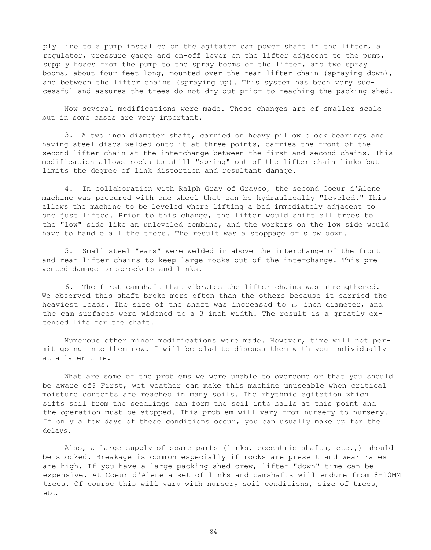ply line to a pump installed on the agitator cam power shaft in the lifter, a regulator, pressure gauge and on-off lever on the lifter adjacent to the pump, supply hoses from the pump to the spray booms of the lifter, and two spray booms, about four feet long, mounted over the rear lifter chain (spraying down), and between the lifter chains (spraying up). This system has been very successful and assures the trees do not dry out prior to reaching the packing shed.

Now several modifications were made. These changes are of smaller scale but in some cases are very important.

3. A two inch diameter shaft, carried on heavy pillow block bearings and having steel discs welded onto it at three points, carries the front of the second lifter chain at the interchange between the first and second chains. This modification allows rocks to still "spring" out of the lifter chain links but limits the degree of link distortion and resultant damage.

4. In collaboration with Ralph Gray of Grayco, the second Coeur d'Alene machine was procured with one wheel that can be hydraulically "leveled." This allows the machine to be leveled where lifting a bed immediately adjacent to one just lifted. Prior to this change, the lifter would shift all trees to the "low" side like an unleveled combine, and the workers on the low side would have to handle all the trees. The result was a stoppage or slow down.

5. Small steel "ears" were welded in above the interchange of the front and rear lifter chains to keep large rocks out of the interchange. This prevented damage to sprockets and links.

6. The first camshaft that vibrates the lifter chains was strengthened. We observed this shaft broke more often than the others because it carried the heaviest loads. The size of the shaft was increased to 1.5 inch diameter, and the cam surfaces were widened to a 3 inch width. The result is a greatly extended life for the shaft.

Numerous other minor modifications were made. However, time will not permit going into them now. I will be glad to discuss them with you individually at a later time.

What are some of the problems we were unable to overcome or that you should be aware of? First, wet weather can make this machine unuseable when critical moisture contents are reached in many soils. The rhythmic agitation which sifts soil from the seedlings can form the soil into balls at this point and the operation must be stopped. This problem will vary from nursery to nursery. If only a few days of these conditions occur, you can usually make up for the delays.

Also, a large supply of spare parts (links, eccentric shafts, etc.,) should be stocked. Breakage is common especially if rocks are present and wear rates are high. If you have a large packing-shed crew, lifter "down" time can be expensive. At Coeur d'Alene a set of links and camshafts will endure from 8-10MM trees. Of course this will vary with nursery soil conditions, size of trees, etc.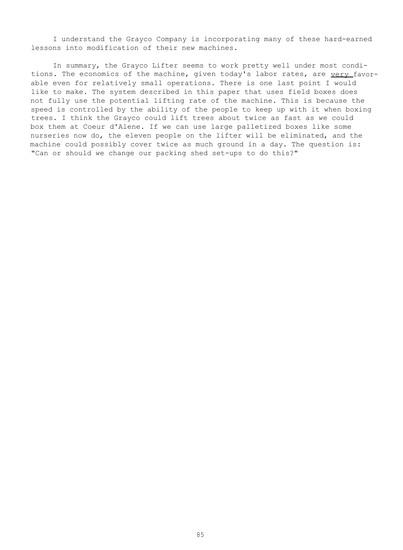I understand the Grayco Company is incorporating many of these hard-earned lessons into modification of their new machines.

In summary, the Grayco Lifter seems to work pretty well under most conditions. The economics of the machine, given today's labor rates, are very favorable even for relatively small operations. There is one last point I would like to make. The system described in this paper that uses field boxes does not fully use the potential lifting rate of the machine. This is because the speed is controlled by the ability of the people to keep up with it when boxing trees. I think the Grayco could lift trees about twice as fast as we could box them at Coeur d'Alene. If we can use large palletized boxes like some nurseries now do, the eleven people on the lifter will be eliminated, and the machine could possibly cover twice as much ground in a day. The question is: "Can or should we change our packing shed set-ups to do this?"